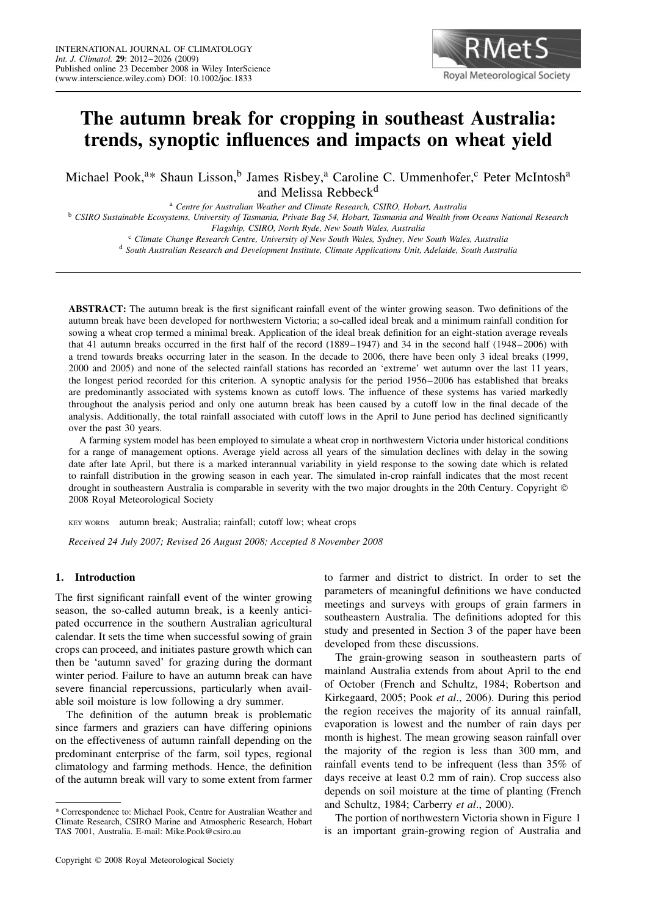

# **The autumn break for cropping in southeast Australia: trends, synoptic influences and impacts on wheat yield**

Michael Pook,<sup>a\*</sup> Shaun Lisson,<sup>b</sup> James Risbey,<sup>a</sup> Caroline C. Ummenhofer,<sup>c</sup> Peter McIntosh<sup>a</sup> and Melissa Rebbeck<sup>d</sup>

<sup>a</sup> *Centre for Australian Weather and Climate Research, CSIRO, Hobart, Australia* <sup>b</sup> *CSIRO Sustainable Ecosystems, University of Tasmania, Private Bag 54, Hobart, Tasmania and Wealth from Oceans National Research*

*Flagship, CSIRO, North Ryde, New South Wales, Australia*

<sup>c</sup> *Climate Change Research Centre, University of New South Wales, Sydney, New South Wales, Australia*

<sup>d</sup> *South Australian Research and Development Institute, Climate Applications Unit, Adelaide, South Australia*

**ABSTRACT:** The autumn break is the first significant rainfall event of the winter growing season. Two definitions of the autumn break have been developed for northwestern Victoria; a so-called ideal break and a minimum rainfall condition for sowing a wheat crop termed a minimal break. Application of the ideal break definition for an eight-station average reveals that 41 autumn breaks occurred in the first half of the record (1889–1947) and 34 in the second half (1948–2006) with a trend towards breaks occurring later in the season. In the decade to 2006, there have been only 3 ideal breaks (1999, 2000 and 2005) and none of the selected rainfall stations has recorded an 'extreme' wet autumn over the last 11 years, the longest period recorded for this criterion. A synoptic analysis for the period 1956–2006 has established that breaks are predominantly associated with systems known as cutoff lows. The influence of these systems has varied markedly throughout the analysis period and only one autumn break has been caused by a cutoff low in the final decade of the analysis. Additionally, the total rainfall associated with cutoff lows in the April to June period has declined significantly over the past 30 years.

A farming system model has been employed to simulate a wheat crop in northwestern Victoria under historical conditions for a range of management options. Average yield across all years of the simulation declines with delay in the sowing date after late April, but there is a marked interannual variability in yield response to the sowing date which is related to rainfall distribution in the growing season in each year. The simulated in-crop rainfall indicates that the most recent drought in southeastern Australia is comparable in severity with the two major droughts in the 20th Century. Copyright © 2008 Royal Meteorological Society

KEY WORDS autumn break; Australia; rainfall; cutoff low; wheat crops

*Received 24 July 2007; Revised 26 August 2008; Accepted 8 November 2008*

## **1. Introduction**

The first significant rainfall event of the winter growing season, the so-called autumn break, is a keenly anticipated occurrence in the southern Australian agricultural calendar. It sets the time when successful sowing of grain crops can proceed, and initiates pasture growth which can then be 'autumn saved' for grazing during the dormant winter period. Failure to have an autumn break can have severe financial repercussions, particularly when available soil moisture is low following a dry summer.

The definition of the autumn break is problematic since farmers and graziers can have differing opinions on the effectiveness of autumn rainfall depending on the predominant enterprise of the farm, soil types, regional climatology and farming methods. Hence, the definition of the autumn break will vary to some extent from farmer to farmer and district to district. In order to set the parameters of meaningful definitions we have conducted meetings and surveys with groups of grain farmers in southeastern Australia. The definitions adopted for this study and presented in Section 3 of the paper have been developed from these discussions.

The grain-growing season in southeastern parts of mainland Australia extends from about April to the end of October (French and Schultz, 1984; Robertson and Kirkegaard, 2005; Pook *et al*., 2006). During this period the region receives the majority of its annual rainfall, evaporation is lowest and the number of rain days per month is highest. The mean growing season rainfall over the majority of the region is less than 300 mm, and rainfall events tend to be infrequent (less than 35% of days receive at least 0.2 mm of rain). Crop success also depends on soil moisture at the time of planting (French and Schultz, 1984; Carberry *et al*., 2000).

The portion of northwestern Victoria shown in Figure 1 is an important grain-growing region of Australia and

<sup>\*</sup> Correspondence to: Michael Pook, Centre for Australian Weather and Climate Research, CSIRO Marine and Atmospheric Research, Hobart TAS 7001, Australia. E-mail: Mike.Pook@csiro.au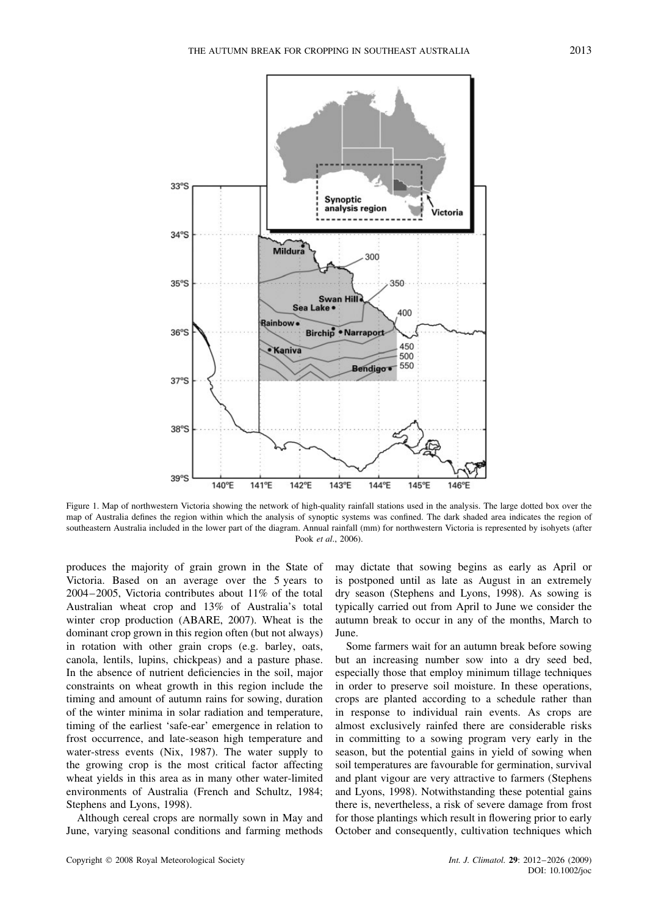

Figure 1. Map of northwestern Victoria showing the network of high-quality rainfall stations used in the analysis. The large dotted box over the map of Australia defines the region within which the analysis of synoptic systems was confined. The dark shaded area indicates the region of southeastern Australia included in the lower part of the diagram. Annual rainfall (mm) for northwestern Victoria is represented by isohyets (after Pook *et al*., 2006).

produces the majority of grain grown in the State of Victoria. Based on an average over the 5 years to 2004–2005, Victoria contributes about 11% of the total Australian wheat crop and 13% of Australia's total winter crop production (ABARE, 2007). Wheat is the dominant crop grown in this region often (but not always) in rotation with other grain crops (e.g. barley, oats, canola, lentils, lupins, chickpeas) and a pasture phase. In the absence of nutrient deficiencies in the soil, major constraints on wheat growth in this region include the timing and amount of autumn rains for sowing, duration of the winter minima in solar radiation and temperature, timing of the earliest 'safe-ear' emergence in relation to frost occurrence, and late-season high temperature and water-stress events (Nix, 1987). The water supply to the growing crop is the most critical factor affecting wheat yields in this area as in many other water-limited environments of Australia (French and Schultz, 1984; Stephens and Lyons, 1998).

Although cereal crops are normally sown in May and June, varying seasonal conditions and farming methods

may dictate that sowing begins as early as April or is postponed until as late as August in an extremely dry season (Stephens and Lyons, 1998). As sowing is typically carried out from April to June we consider the autumn break to occur in any of the months, March to June.

Some farmers wait for an autumn break before sowing but an increasing number sow into a dry seed bed, especially those that employ minimum tillage techniques in order to preserve soil moisture. In these operations, crops are planted according to a schedule rather than in response to individual rain events. As crops are almost exclusively rainfed there are considerable risks in committing to a sowing program very early in the season, but the potential gains in yield of sowing when soil temperatures are favourable for germination, survival and plant vigour are very attractive to farmers (Stephens and Lyons, 1998). Notwithstanding these potential gains there is, nevertheless, a risk of severe damage from frost for those plantings which result in flowering prior to early October and consequently, cultivation techniques which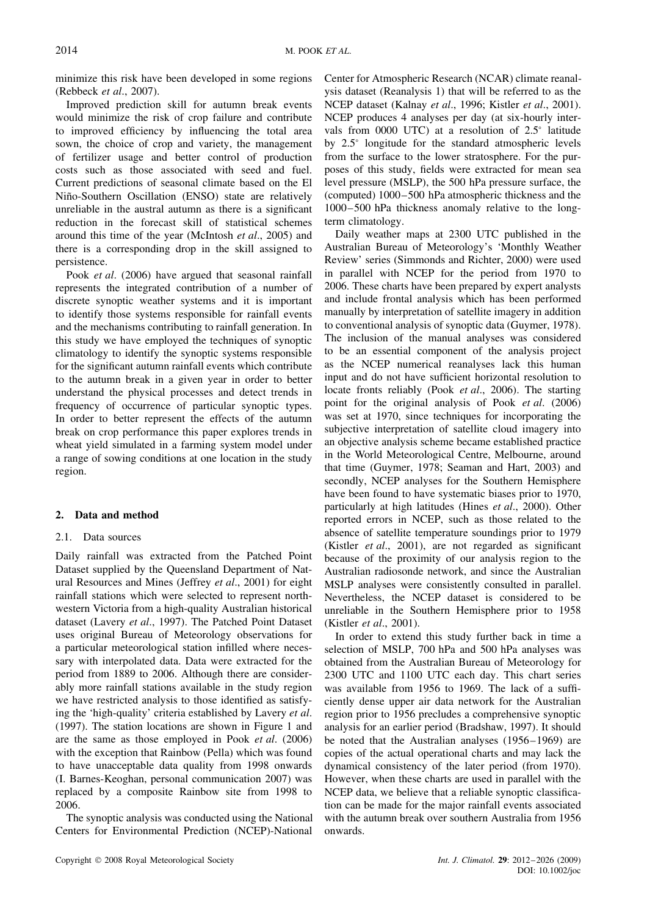minimize this risk have been developed in some regions (Rebbeck *et al*., 2007).

Improved prediction skill for autumn break events would minimize the risk of crop failure and contribute to improved efficiency by influencing the total area sown, the choice of crop and variety, the management of fertilizer usage and better control of production costs such as those associated with seed and fuel. Current predictions of seasonal climate based on the El Niño-Southern Oscillation (ENSO) state are relatively unreliable in the austral autumn as there is a significant reduction in the forecast skill of statistical schemes around this time of the year (McIntosh *et al*., 2005) and there is a corresponding drop in the skill assigned to persistence.

Pook *et al*. (2006) have argued that seasonal rainfall represents the integrated contribution of a number of discrete synoptic weather systems and it is important to identify those systems responsible for rainfall events and the mechanisms contributing to rainfall generation. In this study we have employed the techniques of synoptic climatology to identify the synoptic systems responsible for the significant autumn rainfall events which contribute to the autumn break in a given year in order to better understand the physical processes and detect trends in frequency of occurrence of particular synoptic types. In order to better represent the effects of the autumn break on crop performance this paper explores trends in wheat yield simulated in a farming system model under a range of sowing conditions at one location in the study region.

## **2. Data and method**

#### 2.1. Data sources

Daily rainfall was extracted from the Patched Point Dataset supplied by the Queensland Department of Natural Resources and Mines (Jeffrey *et al*., 2001) for eight rainfall stations which were selected to represent northwestern Victoria from a high-quality Australian historical dataset (Lavery *et al*., 1997). The Patched Point Dataset uses original Bureau of Meteorology observations for a particular meteorological station infilled where necessary with interpolated data. Data were extracted for the period from 1889 to 2006. Although there are considerably more rainfall stations available in the study region we have restricted analysis to those identified as satisfying the 'high-quality' criteria established by Lavery *et al*. (1997). The station locations are shown in Figure 1 and are the same as those employed in Pook *et al*. (2006) with the exception that Rainbow (Pella) which was found to have unacceptable data quality from 1998 onwards (I. Barnes-Keoghan, personal communication 2007) was replaced by a composite Rainbow site from 1998 to 2006.

The synoptic analysis was conducted using the National Centers for Environmental Prediction (NCEP)-National

Center for Atmospheric Research (NCAR) climate reanalysis dataset (Reanalysis 1) that will be referred to as the NCEP dataset (Kalnay *et al*., 1996; Kistler *et al*., 2001). NCEP produces 4 analyses per day (at six-hourly intervals from 0000 UTC) at a resolution of 2.5° latitude by 2.5° longitude for the standard atmospheric levels from the surface to the lower stratosphere. For the purposes of this study, fields were extracted for mean sea level pressure (MSLP), the 500 hPa pressure surface, the (computed) 1000–500 hPa atmospheric thickness and the 1000–500 hPa thickness anomaly relative to the longterm climatology.

Daily weather maps at 2300 UTC published in the Australian Bureau of Meteorology's 'Monthly Weather Review' series (Simmonds and Richter, 2000) were used in parallel with NCEP for the period from 1970 to 2006. These charts have been prepared by expert analysts and include frontal analysis which has been performed manually by interpretation of satellite imagery in addition to conventional analysis of synoptic data (Guymer, 1978). The inclusion of the manual analyses was considered to be an essential component of the analysis project as the NCEP numerical reanalyses lack this human input and do not have sufficient horizontal resolution to locate fronts reliably (Pook *et al*., 2006). The starting point for the original analysis of Pook *et al*. (2006) was set at 1970, since techniques for incorporating the subjective interpretation of satellite cloud imagery into an objective analysis scheme became established practice in the World Meteorological Centre, Melbourne, around that time (Guymer, 1978; Seaman and Hart, 2003) and secondly, NCEP analyses for the Southern Hemisphere have been found to have systematic biases prior to 1970, particularly at high latitudes (Hines *et al*., 2000). Other reported errors in NCEP, such as those related to the absence of satellite temperature soundings prior to 1979 (Kistler *et al*., 2001), are not regarded as significant because of the proximity of our analysis region to the Australian radiosonde network, and since the Australian MSLP analyses were consistently consulted in parallel. Nevertheless, the NCEP dataset is considered to be unreliable in the Southern Hemisphere prior to 1958 (Kistler *et al*., 2001).

In order to extend this study further back in time a selection of MSLP, 700 hPa and 500 hPa analyses was obtained from the Australian Bureau of Meteorology for 2300 UTC and 1100 UTC each day. This chart series was available from 1956 to 1969. The lack of a sufficiently dense upper air data network for the Australian region prior to 1956 precludes a comprehensive synoptic analysis for an earlier period (Bradshaw, 1997). It should be noted that the Australian analyses (1956–1969) are copies of the actual operational charts and may lack the dynamical consistency of the later period (from 1970). However, when these charts are used in parallel with the NCEP data, we believe that a reliable synoptic classification can be made for the major rainfall events associated with the autumn break over southern Australia from 1956 onwards.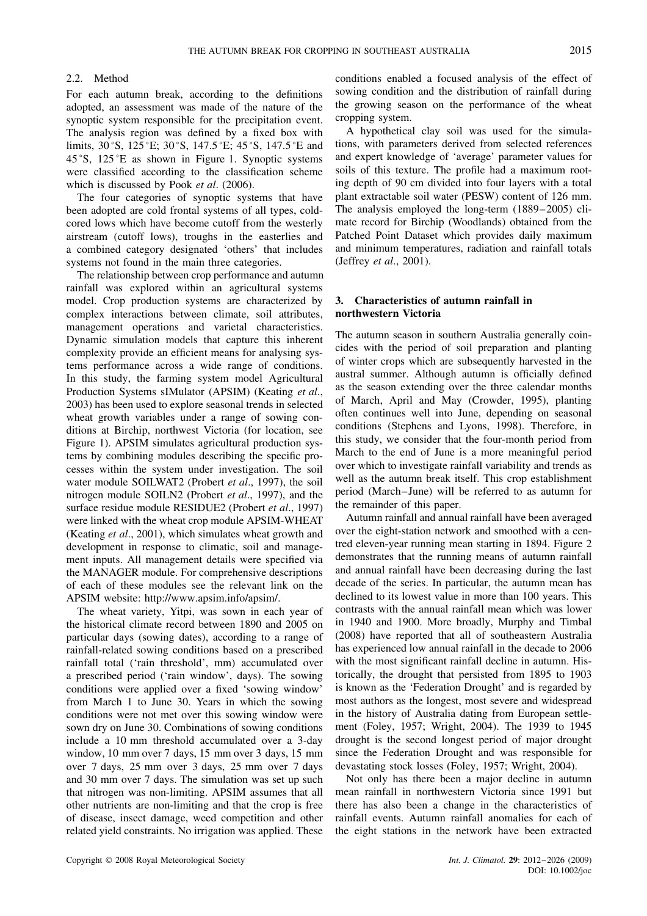#### 2.2. Method

For each autumn break, according to the definitions adopted, an assessment was made of the nature of the synoptic system responsible for the precipitation event. The analysis region was defined by a fixed box with limits, 30 °S, 125 °E; 30 °S, 147.5 °E; 45 °S, 147.5 °E and 45 °S, 125 °E as shown in Figure 1. Synoptic systems were classified according to the classification scheme which is discussed by Pook *et al*. (2006).

The four categories of synoptic systems that have been adopted are cold frontal systems of all types, coldcored lows which have become cutoff from the westerly airstream (cutoff lows), troughs in the easterlies and a combined category designated 'others' that includes systems not found in the main three categories.

The relationship between crop performance and autumn rainfall was explored within an agricultural systems model. Crop production systems are characterized by complex interactions between climate, soil attributes, management operations and varietal characteristics. Dynamic simulation models that capture this inherent complexity provide an efficient means for analysing systems performance across a wide range of conditions. In this study, the farming system model Agricultural Production Systems sIMulator (APSIM) (Keating *et al*., 2003) has been used to explore seasonal trends in selected wheat growth variables under a range of sowing conditions at Birchip, northwest Victoria (for location, see Figure 1). APSIM simulates agricultural production systems by combining modules describing the specific processes within the system under investigation. The soil water module SOILWAT2 (Probert *et al*., 1997), the soil nitrogen module SOILN2 (Probert *et al*., 1997), and the surface residue module RESIDUE2 (Probert *et al*., 1997) were linked with the wheat crop module APSIM-WHEAT (Keating *et al*., 2001), which simulates wheat growth and development in response to climatic, soil and management inputs. All management details were specified via the MANAGER module. For comprehensive descriptions of each of these modules see the relevant link on the APSIM website: http://www.apsim.info/apsim/.

The wheat variety, Yitpi, was sown in each year of the historical climate record between 1890 and 2005 on particular days (sowing dates), according to a range of rainfall-related sowing conditions based on a prescribed rainfall total ('rain threshold', mm) accumulated over a prescribed period ('rain window', days). The sowing conditions were applied over a fixed 'sowing window' from March 1 to June 30. Years in which the sowing conditions were not met over this sowing window were sown dry on June 30. Combinations of sowing conditions include a 10 mm threshold accumulated over a 3-day window, 10 mm over 7 days, 15 mm over 3 days, 15 mm over 7 days, 25 mm over 3 days, 25 mm over 7 days and 30 mm over 7 days. The simulation was set up such that nitrogen was non-limiting. APSIM assumes that all other nutrients are non-limiting and that the crop is free of disease, insect damage, weed competition and other related yield constraints. No irrigation was applied. These

conditions enabled a focused analysis of the effect of sowing condition and the distribution of rainfall during the growing season on the performance of the wheat cropping system.

A hypothetical clay soil was used for the simulations, with parameters derived from selected references and expert knowledge of 'average' parameter values for soils of this texture. The profile had a maximum rooting depth of 90 cm divided into four layers with a total plant extractable soil water (PESW) content of 126 mm. The analysis employed the long-term (1889–2005) climate record for Birchip (Woodlands) obtained from the Patched Point Dataset which provides daily maximum and minimum temperatures, radiation and rainfall totals (Jeffrey *et al*., 2001).

## **3. Characteristics of autumn rainfall in northwestern Victoria**

The autumn season in southern Australia generally coincides with the period of soil preparation and planting of winter crops which are subsequently harvested in the austral summer. Although autumn is officially defined as the season extending over the three calendar months of March, April and May (Crowder, 1995), planting often continues well into June, depending on seasonal conditions (Stephens and Lyons, 1998). Therefore, in this study, we consider that the four-month period from March to the end of June is a more meaningful period over which to investigate rainfall variability and trends as well as the autumn break itself. This crop establishment period (March–June) will be referred to as autumn for the remainder of this paper.

Autumn rainfall and annual rainfall have been averaged over the eight-station network and smoothed with a centred eleven-year running mean starting in 1894. Figure 2 demonstrates that the running means of autumn rainfall and annual rainfall have been decreasing during the last decade of the series. In particular, the autumn mean has declined to its lowest value in more than 100 years. This contrasts with the annual rainfall mean which was lower in 1940 and 1900. More broadly, Murphy and Timbal (2008) have reported that all of southeastern Australia has experienced low annual rainfall in the decade to 2006 with the most significant rainfall decline in autumn. Historically, the drought that persisted from 1895 to 1903 is known as the 'Federation Drought' and is regarded by most authors as the longest, most severe and widespread in the history of Australia dating from European settlement (Foley, 1957; Wright, 2004). The 1939 to 1945 drought is the second longest period of major drought since the Federation Drought and was responsible for devastating stock losses (Foley, 1957; Wright, 2004).

Not only has there been a major decline in autumn mean rainfall in northwestern Victoria since 1991 but there has also been a change in the characteristics of rainfall events. Autumn rainfall anomalies for each of the eight stations in the network have been extracted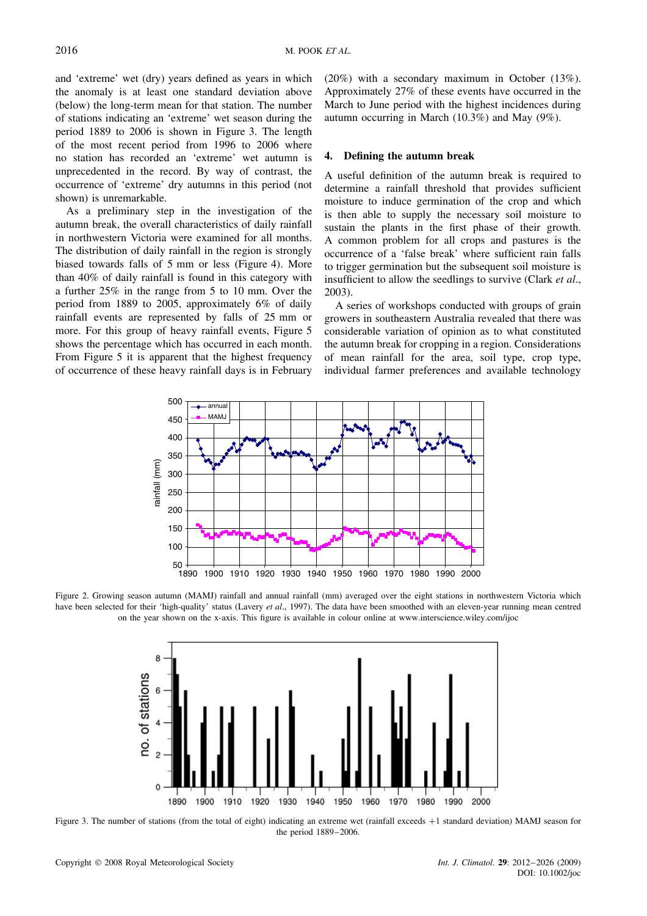and 'extreme' wet (dry) years defined as years in which the anomaly is at least one standard deviation above (below) the long-term mean for that station. The number of stations indicating an 'extreme' wet season during the period 1889 to 2006 is shown in Figure 3. The length of the most recent period from 1996 to 2006 where no station has recorded an 'extreme' wet autumn is unprecedented in the record. By way of contrast, the occurrence of 'extreme' dry autumns in this period (not shown) is unremarkable.

As a preliminary step in the investigation of the autumn break, the overall characteristics of daily rainfall in northwestern Victoria were examined for all months. The distribution of daily rainfall in the region is strongly biased towards falls of 5 mm or less (Figure 4). More than 40% of daily rainfall is found in this category with a further 25% in the range from 5 to 10 mm. Over the period from 1889 to 2005, approximately 6% of daily rainfall events are represented by falls of 25 mm or more. For this group of heavy rainfall events, Figure 5 shows the percentage which has occurred in each month. From Figure 5 it is apparent that the highest frequency of occurrence of these heavy rainfall days is in February (20%) with a secondary maximum in October (13%). Approximately 27% of these events have occurred in the March to June period with the highest incidences during autumn occurring in March (10.3%) and May (9%).

#### **4. Defining the autumn break**

A useful definition of the autumn break is required to determine a rainfall threshold that provides sufficient moisture to induce germination of the crop and which is then able to supply the necessary soil moisture to sustain the plants in the first phase of their growth. A common problem for all crops and pastures is the occurrence of a 'false break' where sufficient rain falls to trigger germination but the subsequent soil moisture is insufficient to allow the seedlings to survive (Clark *et al*., 2003).

A series of workshops conducted with groups of grain growers in southeastern Australia revealed that there was considerable variation of opinion as to what constituted the autumn break for cropping in a region. Considerations of mean rainfall for the area, soil type, crop type, individual farmer preferences and available technology



Figure 2. Growing season autumn (MAMJ) rainfall and annual rainfall (mm) averaged over the eight stations in northwestern Victoria which have been selected for their 'high-quality' status (Lavery *et al*., 1997). The data have been smoothed with an eleven-year running mean centred on the year shown on the x-axis. This figure is available in colour online at www.interscience.wiley.com/ijoc



Figure 3. The number of stations (from the total of eight) indicating an extreme wet (rainfall exceeds +1 standard deviation) MAMJ season for the period 1889–2006.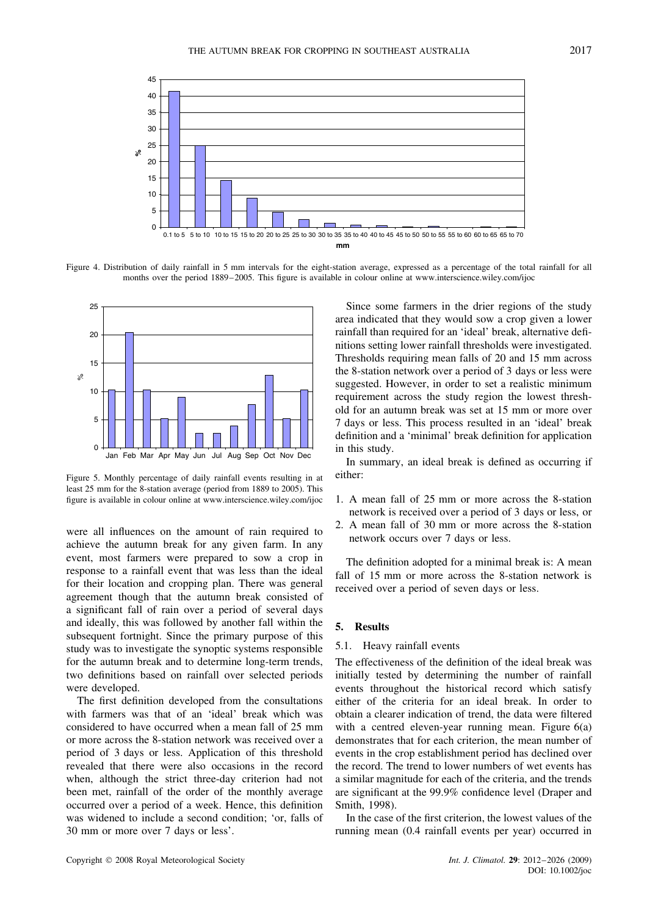

Figure 4. Distribution of daily rainfall in 5 mm intervals for the eight-station average, expressed as a percentage of the total rainfall for all months over the period 1889–2005. This figure is available in colour online at www.interscience.wiley.com/ijoc



Figure 5. Monthly percentage of daily rainfall events resulting in at least 25 mm for the 8-station average (period from 1889 to 2005). This figure is available in colour online at www.interscience.wiley.com/ijoc

were all influences on the amount of rain required to achieve the autumn break for any given farm. In any event, most farmers were prepared to sow a crop in response to a rainfall event that was less than the ideal for their location and cropping plan. There was general agreement though that the autumn break consisted of a significant fall of rain over a period of several days and ideally, this was followed by another fall within the subsequent fortnight. Since the primary purpose of this study was to investigate the synoptic systems responsible for the autumn break and to determine long-term trends, two definitions based on rainfall over selected periods were developed.

The first definition developed from the consultations with farmers was that of an 'ideal' break which was considered to have occurred when a mean fall of 25 mm or more across the 8-station network was received over a period of 3 days or less. Application of this threshold revealed that there were also occasions in the record when, although the strict three-day criterion had not been met, rainfall of the order of the monthly average occurred over a period of a week. Hence, this definition was widened to include a second condition; 'or, falls of 30 mm or more over 7 days or less'.

Since some farmers in the drier regions of the study area indicated that they would sow a crop given a lower rainfall than required for an 'ideal' break, alternative definitions setting lower rainfall thresholds were investigated. Thresholds requiring mean falls of 20 and 15 mm across the 8-station network over a period of 3 days or less were suggested. However, in order to set a realistic minimum requirement across the study region the lowest threshold for an autumn break was set at 15 mm or more over 7 days or less. This process resulted in an 'ideal' break definition and a 'minimal' break definition for application in this study.

In summary, an ideal break is defined as occurring if either:

- 1. A mean fall of 25 mm or more across the 8-station network is received over a period of 3 days or less, or
- 2. A mean fall of 30 mm or more across the 8-station network occurs over 7 days or less.

The definition adopted for a minimal break is: A mean fall of 15 mm or more across the 8-station network is received over a period of seven days or less.

## **5. Results**

#### 5.1. Heavy rainfall events

The effectiveness of the definition of the ideal break was initially tested by determining the number of rainfall events throughout the historical record which satisfy either of the criteria for an ideal break. In order to obtain a clearer indication of trend, the data were filtered with a centred eleven-year running mean. Figure 6(a) demonstrates that for each criterion, the mean number of events in the crop establishment period has declined over the record. The trend to lower numbers of wet events has a similar magnitude for each of the criteria, and the trends are significant at the 99.9% confidence level (Draper and Smith, 1998).

In the case of the first criterion, the lowest values of the running mean (0.4 rainfall events per year) occurred in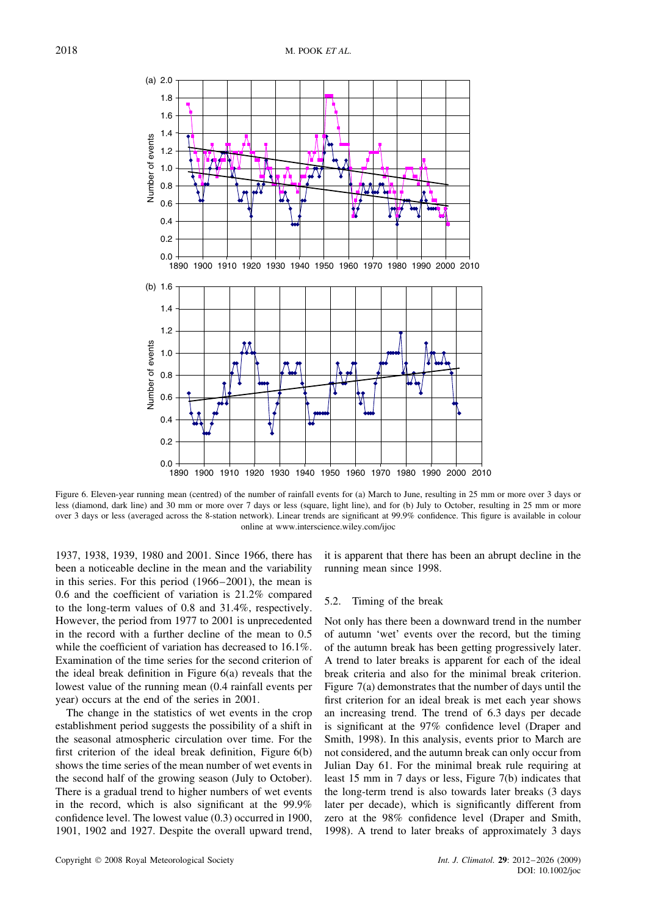

Figure 6. Eleven-year running mean (centred) of the number of rainfall events for (a) March to June, resulting in 25 mm or more over 3 days or less (diamond, dark line) and 30 mm or more over 7 days or less (square, light line), and for (b) July to October, resulting in 25 mm or more over 3 days or less (averaged across the 8-station network). Linear trends are significant at 99.9% confidence. This figure is available in colour online at www.interscience.wiley.com/ijoc

1937, 1938, 1939, 1980 and 2001. Since 1966, there has been a noticeable decline in the mean and the variability in this series. For this period (1966–2001), the mean is 0.6 and the coefficient of variation is 21.2% compared to the long-term values of 0.8 and 31.4%, respectively. However, the period from 1977 to 2001 is unprecedented in the record with a further decline of the mean to 0.5 while the coefficient of variation has decreased to 16.1%. Examination of the time series for the second criterion of the ideal break definition in Figure 6(a) reveals that the lowest value of the running mean (0.4 rainfall events per year) occurs at the end of the series in 2001.

The change in the statistics of wet events in the crop establishment period suggests the possibility of a shift in the seasonal atmospheric circulation over time. For the first criterion of the ideal break definition, Figure 6(b) shows the time series of the mean number of wet events in the second half of the growing season (July to October). There is a gradual trend to higher numbers of wet events in the record, which is also significant at the 99.9% confidence level. The lowest value (0.3) occurred in 1900, 1901, 1902 and 1927. Despite the overall upward trend, it is apparent that there has been an abrupt decline in the running mean since 1998.

#### 5.2. Timing of the break

Not only has there been a downward trend in the number of autumn 'wet' events over the record, but the timing of the autumn break has been getting progressively later. A trend to later breaks is apparent for each of the ideal break criteria and also for the minimal break criterion. Figure 7(a) demonstrates that the number of days until the first criterion for an ideal break is met each year shows an increasing trend. The trend of 6.3 days per decade is significant at the 97% confidence level (Draper and Smith, 1998). In this analysis, events prior to March are not considered, and the autumn break can only occur from Julian Day 61. For the minimal break rule requiring at least 15 mm in 7 days or less, Figure 7(b) indicates that the long-term trend is also towards later breaks (3 days later per decade), which is significantly different from zero at the 98% confidence level (Draper and Smith, 1998). A trend to later breaks of approximately 3 days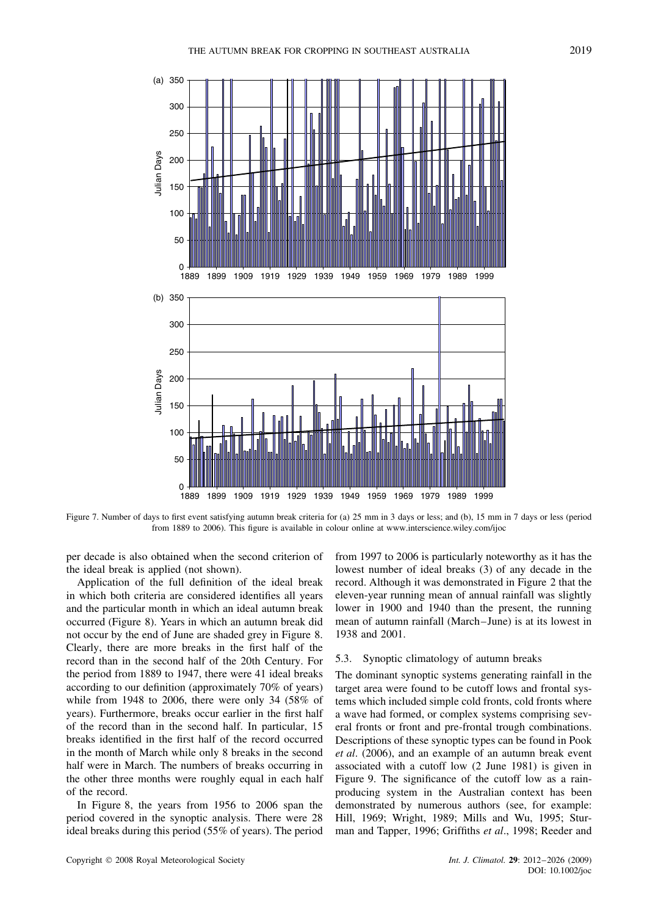

Figure 7. Number of days to first event satisfying autumn break criteria for (a) 25 mm in 3 days or less; and (b), 15 mm in 7 days or less (period from 1889 to 2006). This figure is available in colour online at www.interscience.wiley.com/ijoc

per decade is also obtained when the second criterion of the ideal break is applied (not shown).

Application of the full definition of the ideal break in which both criteria are considered identifies all years and the particular month in which an ideal autumn break occurred (Figure 8). Years in which an autumn break did not occur by the end of June are shaded grey in Figure 8. Clearly, there are more breaks in the first half of the record than in the second half of the 20th Century. For the period from 1889 to 1947, there were 41 ideal breaks according to our definition (approximately 70% of years) while from 1948 to 2006, there were only 34 (58% of years). Furthermore, breaks occur earlier in the first half of the record than in the second half. In particular, 15 breaks identified in the first half of the record occurred in the month of March while only 8 breaks in the second half were in March. The numbers of breaks occurring in the other three months were roughly equal in each half of the record.

In Figure 8, the years from 1956 to 2006 span the period covered in the synoptic analysis. There were 28 ideal breaks during this period (55% of years). The period from 1997 to 2006 is particularly noteworthy as it has the lowest number of ideal breaks (3) of any decade in the record. Although it was demonstrated in Figure 2 that the eleven-year running mean of annual rainfall was slightly lower in 1900 and 1940 than the present, the running mean of autumn rainfall (March–June) is at its lowest in 1938 and 2001.

#### 5.3. Synoptic climatology of autumn breaks

The dominant synoptic systems generating rainfall in the target area were found to be cutoff lows and frontal systems which included simple cold fronts, cold fronts where a wave had formed, or complex systems comprising several fronts or front and pre-frontal trough combinations. Descriptions of these synoptic types can be found in Pook *et al*. (2006), and an example of an autumn break event associated with a cutoff low (2 June 1981) is given in Figure 9. The significance of the cutoff low as a rainproducing system in the Australian context has been demonstrated by numerous authors (see, for example: Hill, 1969; Wright, 1989; Mills and Wu, 1995; Sturman and Tapper, 1996; Griffiths *et al*., 1998; Reeder and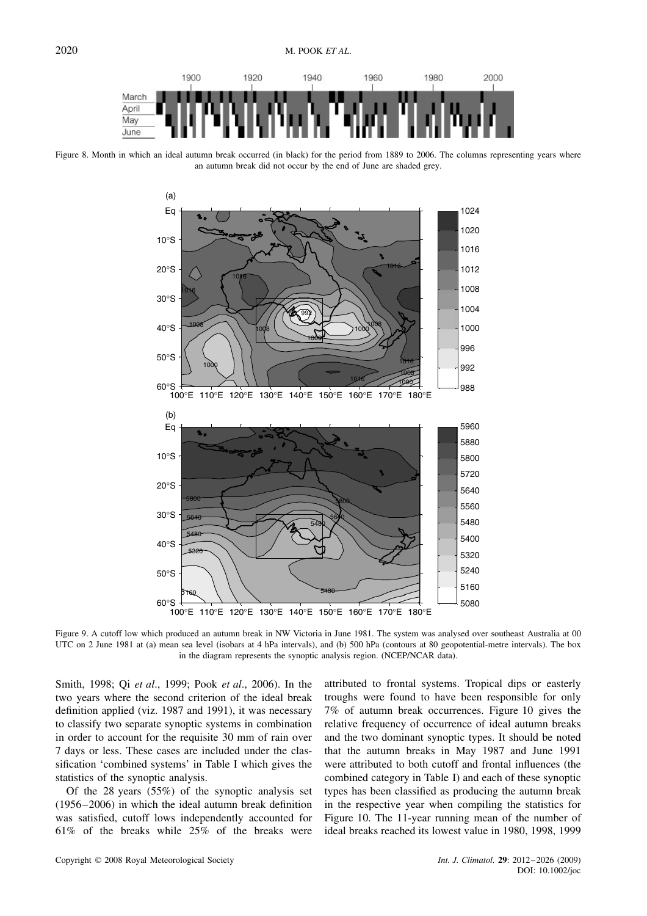

Figure 8. Month in which an ideal autumn break occurred (in black) for the period from 1889 to 2006. The columns representing years where an autumn break did not occur by the end of June are shaded grey.



Figure 9. A cutoff low which produced an autumn break in NW Victoria in June 1981. The system was analysed over southeast Australia at 00 UTC on 2 June 1981 at (a) mean sea level (isobars at 4 hPa intervals), and (b) 500 hPa (contours at 80 geopotential-metre intervals). The box in the diagram represents the synoptic analysis region. (NCEP/NCAR data).

Smith, 1998; Qi *et al*., 1999; Pook *et al*., 2006). In the two years where the second criterion of the ideal break definition applied (viz. 1987 and 1991), it was necessary to classify two separate synoptic systems in combination in order to account for the requisite 30 mm of rain over 7 days or less. These cases are included under the classification 'combined systems' in Table I which gives the statistics of the synoptic analysis.

Of the 28 years (55%) of the synoptic analysis set (1956–2006) in which the ideal autumn break definition was satisfied, cutoff lows independently accounted for 61% of the breaks while 25% of the breaks were

attributed to frontal systems. Tropical dips or easterly troughs were found to have been responsible for only 7% of autumn break occurrences. Figure 10 gives the relative frequency of occurrence of ideal autumn breaks and the two dominant synoptic types. It should be noted that the autumn breaks in May 1987 and June 1991 were attributed to both cutoff and frontal influences (the combined category in Table I) and each of these synoptic types has been classified as producing the autumn break in the respective year when compiling the statistics for Figure 10. The 11-year running mean of the number of ideal breaks reached its lowest value in 1980, 1998, 1999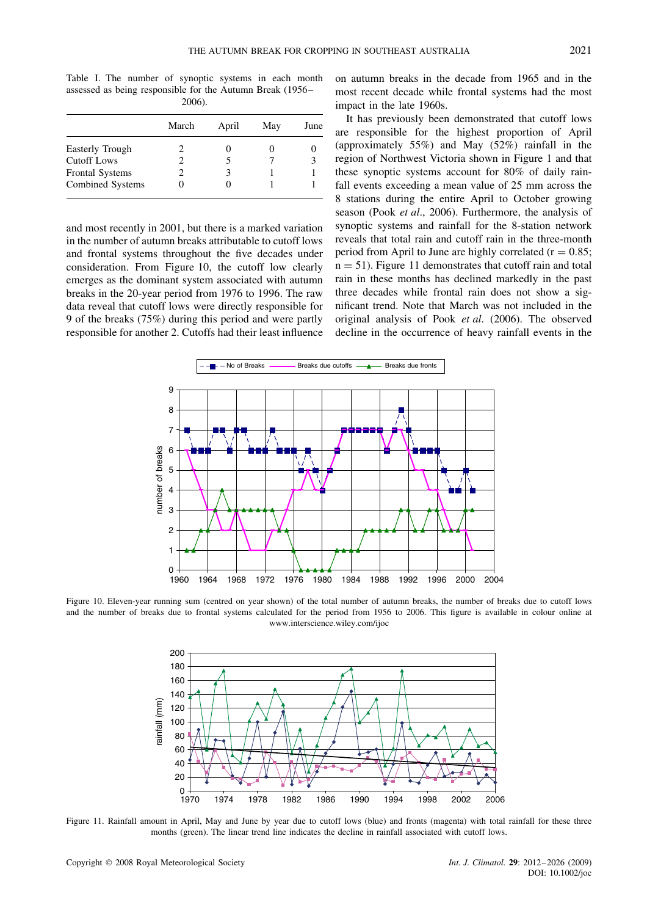Table I. The number of synoptic systems in each month assessed as being responsible for the Autumn Break (1956– 2006).

|                        | March | April | May | June |
|------------------------|-------|-------|-----|------|
| Easterly Trough        |       |       |     |      |
| <b>Cutoff Lows</b>     |       |       |     |      |
| <b>Frontal Systems</b> |       |       |     |      |
| Combined Systems       |       |       |     |      |

and most recently in 2001, but there is a marked variation in the number of autumn breaks attributable to cutoff lows and frontal systems throughout the five decades under consideration. From Figure 10, the cutoff low clearly emerges as the dominant system associated with autumn breaks in the 20-year period from 1976 to 1996. The raw data reveal that cutoff lows were directly responsible for 9 of the breaks (75%) during this period and were partly responsible for another 2. Cutoffs had their least influence

on autumn breaks in the decade from 1965 and in the most recent decade while frontal systems had the most impact in the late 1960s.

It has previously been demonstrated that cutoff lows are responsible for the highest proportion of April (approximately 55%) and May (52%) rainfall in the region of Northwest Victoria shown in Figure 1 and that these synoptic systems account for 80% of daily rainfall events exceeding a mean value of 25 mm across the 8 stations during the entire April to October growing season (Pook *et al*., 2006). Furthermore, the analysis of synoptic systems and rainfall for the 8-station network reveals that total rain and cutoff rain in the three-month period from April to June are highly correlated  $(r = 0.85)$ ;  $n = 51$ ). Figure 11 demonstrates that cutoff rain and total rain in these months has declined markedly in the past three decades while frontal rain does not show a significant trend. Note that March was not included in the original analysis of Pook *et al*. (2006). The observed decline in the occurrence of heavy rainfall events in the



Figure 10. Eleven-year running sum (centred on year shown) of the total number of autumn breaks, the number of breaks due to cutoff lows and the number of breaks due to frontal systems calculated for the period from 1956 to 2006. This figure is available in colour online at www.interscience.wiley.com/ijoc



Figure 11. Rainfall amount in April, May and June by year due to cutoff lows (blue) and fronts (magenta) with total rainfall for these three months (green). The linear trend line indicates the decline in rainfall associated with cutoff lows.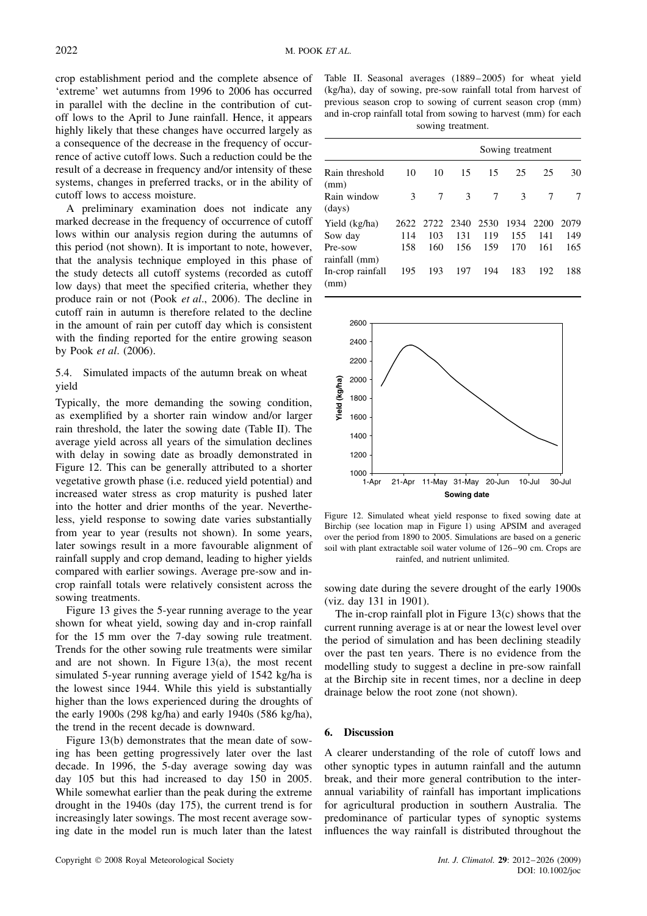crop establishment period and the complete absence of 'extreme' wet autumns from 1996 to 2006 has occurred in parallel with the decline in the contribution of cutoff lows to the April to June rainfall. Hence, it appears highly likely that these changes have occurred largely as a consequence of the decrease in the frequency of occurrence of active cutoff lows. Such a reduction could be the result of a decrease in frequency and/or intensity of these systems, changes in preferred tracks, or in the ability of cutoff lows to access moisture.

A preliminary examination does not indicate any marked decrease in the frequency of occurrence of cutoff lows within our analysis region during the autumns of this period (not shown). It is important to note, however, that the analysis technique employed in this phase of the study detects all cutoff systems (recorded as cutoff low days) that meet the specified criteria, whether they produce rain or not (Pook *et al*., 2006). The decline in cutoff rain in autumn is therefore related to the decline in the amount of rain per cutoff day which is consistent with the finding reported for the entire growing season by Pook *et al*. (2006).

## 5.4. Simulated impacts of the autumn break on wheat yield

Typically, the more demanding the sowing condition, as exemplified by a shorter rain window and/or larger rain threshold, the later the sowing date (Table II). The average yield across all years of the simulation declines with delay in sowing date as broadly demonstrated in Figure 12. This can be generally attributed to a shorter vegetative growth phase (i.e. reduced yield potential) and increased water stress as crop maturity is pushed later into the hotter and drier months of the year. Nevertheless, yield response to sowing date varies substantially from year to year (results not shown). In some years, later sowings result in a more favourable alignment of rainfall supply and crop demand, leading to higher yields compared with earlier sowings. Average pre-sow and incrop rainfall totals were relatively consistent across the sowing treatments.

Figure 13 gives the 5-year running average to the year shown for wheat yield, sowing day and in-crop rainfall for the 15 mm over the 7-day sowing rule treatment. Trends for the other sowing rule treatments were similar and are not shown. In Figure 13(a), the most recent simulated 5-year running average yield of 1542 kg/ha is the lowest since 1944. While this yield is substantially higher than the lows experienced during the droughts of the early 1900s (298 kg/ha) and early 1940s (586 kg/ha), the trend in the recent decade is downward.

Figure 13(b) demonstrates that the mean date of sowing has been getting progressively later over the last decade. In 1996, the 5-day average sowing day was day 105 but this had increased to day 150 in 2005. While somewhat earlier than the peak during the extreme drought in the 1940s (day 175), the current trend is for increasingly later sowings. The most recent average sowing date in the model run is much later than the latest

Table II. Seasonal averages (1889–2005) for wheat yield (kg/ha), day of sowing, pre-sow rainfall total from harvest of previous season crop to sowing of current season crop (mm) and in-crop rainfall total from sowing to harvest (mm) for each sowing treatment.

|                          | Sowing treatment |     |           |      |      |      |      |  |
|--------------------------|------------------|-----|-----------|------|------|------|------|--|
| Rain threshold<br>(mm)   | 10               | 10  | 15        | 15   | 25   | 25   | 30   |  |
| Rain window<br>(days)    | 3                | 7   | 3         | 7    | 3    |      | 7    |  |
| Yield (kg/ha)            | 2622             |     | 2722 2340 | 2530 | 1934 | 2200 | 2079 |  |
| Sow day                  | 114              | 103 | 131       | 119  | 155  | 141  | 149  |  |
| Pre-sow<br>rainfall (mm) | 158              | 160 | 156       | 159  | 170  | 161  | 165  |  |
| In-crop rainfall<br>(mm) | 195              | 193 | 197       | 194  | 183  | 192  | 188  |  |



Figure 12. Simulated wheat yield response to fixed sowing date at Birchip (see location map in Figure 1) using APSIM and averaged over the period from 1890 to 2005. Simulations are based on a generic soil with plant extractable soil water volume of 126–90 cm. Crops are rainfed, and nutrient unlimited.

sowing date during the severe drought of the early 1900s (viz. day 131 in 1901).

The in-crop rainfall plot in Figure 13(c) shows that the current running average is at or near the lowest level over the period of simulation and has been declining steadily over the past ten years. There is no evidence from the modelling study to suggest a decline in pre-sow rainfall at the Birchip site in recent times, nor a decline in deep drainage below the root zone (not shown).

## **6. Discussion**

A clearer understanding of the role of cutoff lows and other synoptic types in autumn rainfall and the autumn break, and their more general contribution to the interannual variability of rainfall has important implications for agricultural production in southern Australia. The predominance of particular types of synoptic systems influences the way rainfall is distributed throughout the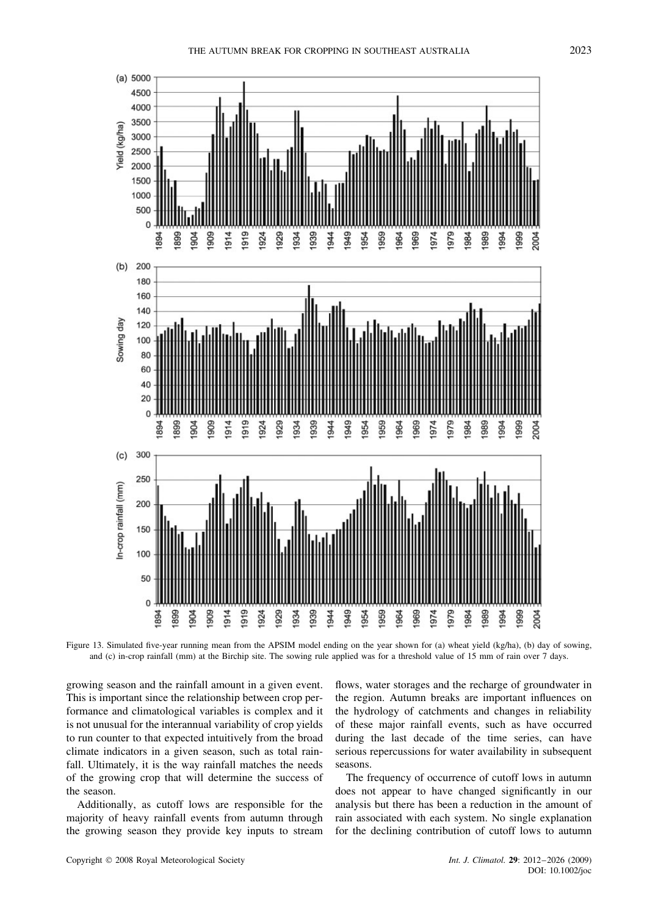

Figure 13. Simulated five-year running mean from the APSIM model ending on the year shown for (a) wheat yield (kg/ha), (b) day of sowing, and (c) in-crop rainfall (mm) at the Birchip site. The sowing rule applied was for a threshold value of 15 mm of rain over 7 days.

growing season and the rainfall amount in a given event. This is important since the relationship between crop performance and climatological variables is complex and it is not unusual for the interannual variability of crop yields to run counter to that expected intuitively from the broad climate indicators in a given season, such as total rainfall. Ultimately, it is the way rainfall matches the needs of the growing crop that will determine the success of the season.

Additionally, as cutoff lows are responsible for the majority of heavy rainfall events from autumn through the growing season they provide key inputs to stream flows, water storages and the recharge of groundwater in the region. Autumn breaks are important influences on the hydrology of catchments and changes in reliability of these major rainfall events, such as have occurred during the last decade of the time series, can have serious repercussions for water availability in subsequent seasons.

The frequency of occurrence of cutoff lows in autumn does not appear to have changed significantly in our analysis but there has been a reduction in the amount of rain associated with each system. No single explanation for the declining contribution of cutoff lows to autumn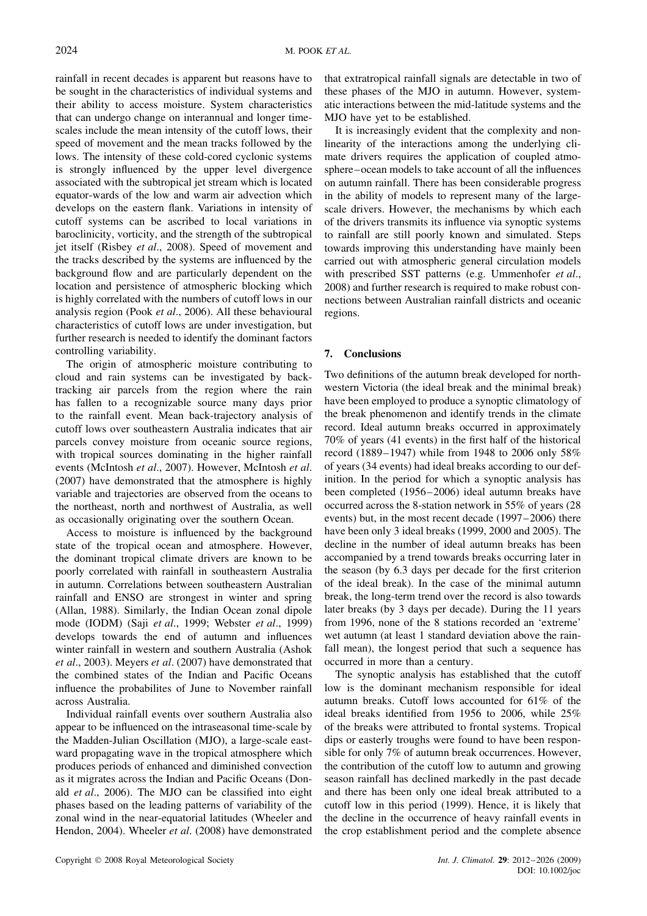rainfall in recent decades is apparent but reasons have to be sought in the characteristics of individual systems and their ability to access moisture. System characteristics that can undergo change on interannual and longer timescales include the mean intensity of the cutoff lows, their speed of movement and the mean tracks followed by the lows. The intensity of these cold-cored cyclonic systems is strongly influenced by the upper level divergence associated with the subtropical jet stream which is located equator-wards of the low and warm air advection which develops on the eastern flank. Variations in intensity of cutoff systems can be ascribed to local variations in baroclinicity, vorticity, and the strength of the subtropical jet itself (Risbey *et al*., 2008). Speed of movement and the tracks described by the systems are influenced by the background flow and are particularly dependent on the location and persistence of atmospheric blocking which is highly correlated with the numbers of cutoff lows in our analysis region (Pook *et al*., 2006). All these behavioural characteristics of cutoff lows are under investigation, but further research is needed to identify the dominant factors controlling variability.

The origin of atmospheric moisture contributing to cloud and rain systems can be investigated by backtracking air parcels from the region where the rain has fallen to a recognizable source many days prior to the rainfall event. Mean back-trajectory analysis of cutoff lows over southeastern Australia indicates that air parcels convey moisture from oceanic source regions, with tropical sources dominating in the higher rainfall events (McIntosh *et al*., 2007). However, McIntosh *et al*. (2007) have demonstrated that the atmosphere is highly variable and trajectories are observed from the oceans to the northeast, north and northwest of Australia, as well as occasionally originating over the southern Ocean.

Access to moisture is influenced by the background state of the tropical ocean and atmosphere. However, the dominant tropical climate drivers are known to be poorly correlated with rainfall in southeastern Australia in autumn. Correlations between southeastern Australian rainfall and ENSO are strongest in winter and spring (Allan, 1988). Similarly, the Indian Ocean zonal dipole mode (IODM) (Saji *et al*., 1999; Webster *et al*., 1999) develops towards the end of autumn and influences winter rainfall in western and southern Australia (Ashok *et al*., 2003). Meyers *et al*. (2007) have demonstrated that the combined states of the Indian and Pacific Oceans influence the probabilites of June to November rainfall across Australia.

Individual rainfall events over southern Australia also appear to be influenced on the intraseasonal time-scale by the Madden-Julian Oscillation (MJO), a large-scale eastward propagating wave in the tropical atmosphere which produces periods of enhanced and diminished convection as it migrates across the Indian and Pacific Oceans (Donald *et al*., 2006). The MJO can be classified into eight phases based on the leading patterns of variability of the zonal wind in the near-equatorial latitudes (Wheeler and Hendon, 2004). Wheeler *et al*. (2008) have demonstrated

that extratropical rainfall signals are detectable in two of these phases of the MJO in autumn. However, systematic interactions between the mid-latitude systems and the MJO have yet to be established.

It is increasingly evident that the complexity and nonlinearity of the interactions among the underlying climate drivers requires the application of coupled atmosphere–ocean models to take account of all the influences on autumn rainfall. There has been considerable progress in the ability of models to represent many of the largescale drivers. However, the mechanisms by which each of the drivers transmits its influence via synoptic systems to rainfall are still poorly known and simulated. Steps towards improving this understanding have mainly been carried out with atmospheric general circulation models with prescribed SST patterns (e.g. Ummenhofer *et al*., 2008) and further research is required to make robust connections between Australian rainfall districts and oceanic regions.

## **7. Conclusions**

Two definitions of the autumn break developed for northwestern Victoria (the ideal break and the minimal break) have been employed to produce a synoptic climatology of the break phenomenon and identify trends in the climate record. Ideal autumn breaks occurred in approximately 70% of years (41 events) in the first half of the historical record (1889–1947) while from 1948 to 2006 only 58% of years (34 events) had ideal breaks according to our definition. In the period for which a synoptic analysis has been completed (1956–2006) ideal autumn breaks have occurred across the 8-station network in 55% of years (28 events) but, in the most recent decade (1997–2006) there have been only 3 ideal breaks (1999, 2000 and 2005). The decline in the number of ideal autumn breaks has been accompanied by a trend towards breaks occurring later in the season (by 6.3 days per decade for the first criterion of the ideal break). In the case of the minimal autumn break, the long-term trend over the record is also towards later breaks (by 3 days per decade). During the 11 years from 1996, none of the 8 stations recorded an 'extreme' wet autumn (at least 1 standard deviation above the rainfall mean), the longest period that such a sequence has occurred in more than a century.

The synoptic analysis has established that the cutoff low is the dominant mechanism responsible for ideal autumn breaks. Cutoff lows accounted for 61% of the ideal breaks identified from 1956 to 2006, while 25% of the breaks were attributed to frontal systems. Tropical dips or easterly troughs were found to have been responsible for only 7% of autumn break occurrences. However, the contribution of the cutoff low to autumn and growing season rainfall has declined markedly in the past decade and there has been only one ideal break attributed to a cutoff low in this period (1999). Hence, it is likely that the decline in the occurrence of heavy rainfall events in the crop establishment period and the complete absence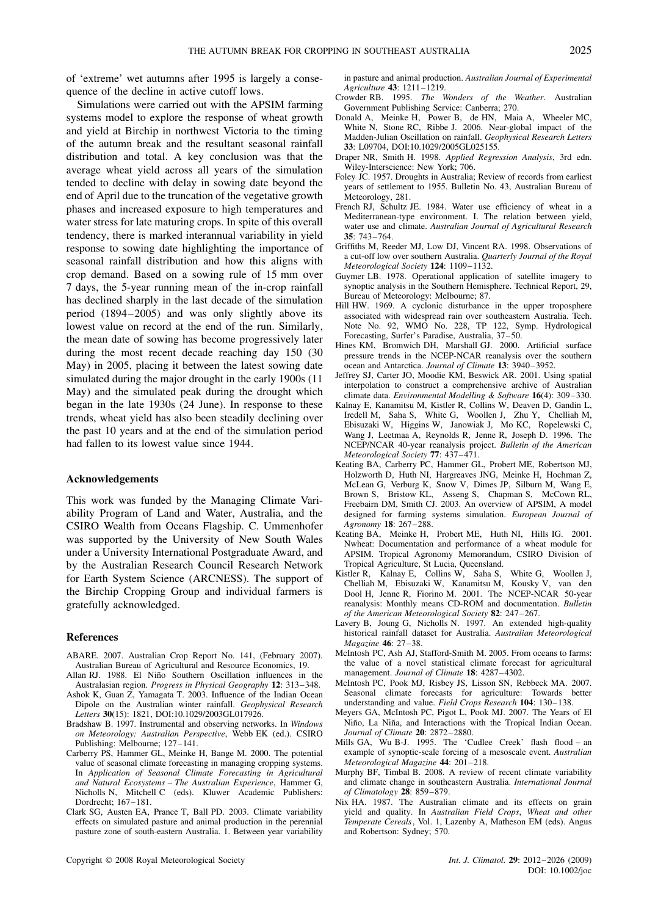of 'extreme' wet autumns after 1995 is largely a consequence of the decline in active cutoff lows.

Simulations were carried out with the APSIM farming systems model to explore the response of wheat growth and yield at Birchip in northwest Victoria to the timing of the autumn break and the resultant seasonal rainfall distribution and total. A key conclusion was that the average wheat yield across all years of the simulation tended to decline with delay in sowing date beyond the end of April due to the truncation of the vegetative growth phases and increased exposure to high temperatures and water stress for late maturing crops. In spite of this overall tendency, there is marked interannual variability in yield response to sowing date highlighting the importance of seasonal rainfall distribution and how this aligns with crop demand. Based on a sowing rule of 15 mm over 7 days, the 5-year running mean of the in-crop rainfall has declined sharply in the last decade of the simulation period (1894–2005) and was only slightly above its lowest value on record at the end of the run. Similarly, the mean date of sowing has become progressively later during the most recent decade reaching day 150 (30 May) in 2005, placing it between the latest sowing date simulated during the major drought in the early 1900s (11 May) and the simulated peak during the drought which began in the late 1930s (24 June). In response to these trends, wheat yield has also been steadily declining over the past 10 years and at the end of the simulation period had fallen to its lowest value since 1944.

### **Acknowledgements**

This work was funded by the Managing Climate Variability Program of Land and Water, Australia, and the CSIRO Wealth from Oceans Flagship. C. Ummenhofer was supported by the University of New South Wales under a University International Postgraduate Award, and by the Australian Research Council Research Network for Earth System Science (ARCNESS). The support of the Birchip Cropping Group and individual farmers is gratefully acknowledged.

#### **References**

- ABARE. 2007. Australian Crop Report No. 141, (February 2007). Australian Bureau of Agricultural and Resource Economics, 19.
- Allan RJ. 1988. El Niño Southern Oscillation influences in the Australasian region. *Progress in Physical Geography* **12**: 313–348.
- Ashok K, Guan Z, Yamagata T. 2003. Influence of the Indian Ocean Dipole on the Australian winter rainfall. *Geophysical Research Letters* **30**(15): 1821, DOI:10.1029/2003GL017926.
- Bradshaw B. 1997. Instrumental and observing networks. In *Windows on Meteorology: Australian Perspective*, Webb EK (ed.). CSIRO Publishing: Melbourne; 127–141.
- Carberry PS, Hammer GL, Meinke H, Bange M. 2000. The potential value of seasonal climate forecasting in managing cropping systems. In *Application of Seasonal Climate Forecasting in Agricultural and Natural Ecosystems – The Australian Experience*, Hammer G, Nicholls N, Mitchell C (eds). Kluwer Academic Publishers: Dordrecht; 167–181.
- Clark SG, Austen EA, Prance T, Ball PD. 2003. Climate variability effects on simulated pasture and animal production in the perennial pasture zone of south-eastern Australia. 1. Between year variability
- Crowder RB. 1995. *The Wonders of the Weather*. Australian Government Publishing Service: Canberra; 270.
- Donald A, Meinke H, Power B, de HN, Maia A, Wheeler MC, White N, Stone RC, Ribbe J. 2006. Near-global impact of the Madden-Julian Oscillation on rainfall. *Geophysical Research Letters* **33**: L09704, DOI:10.1029/2005GL025155.
- Draper NR, Smith H. 1998. *Applied Regression Analysis*, 3rd edn. Wiley-Interscience: New York; 706.
- Foley JC. 1957. Droughts in Australia; Review of records from earliest years of settlement to 1955. Bulletin No. 43, Australian Bureau of Meteorology, 281.
- French RJ, Schultz JE. 1984. Water use efficiency of wheat in a Mediterranean-type environment. I. The relation between yield, water use and climate. *Australian Journal of Agricultural Research* **35**: 743–764.
- Griffiths M, Reeder MJ, Low DJ, Vincent RA. 1998. Observations of a cut-off low over southern Australia. *Quarterly Journal of the Royal Meteorological Society* **124**: 1109–1132.
- Guymer LB. 1978. Operational application of satellite imagery to synoptic analysis in the Southern Hemisphere. Technical Report, 29, Bureau of Meteorology: Melbourne; 87.
- Hill HW. 1969. A cyclonic disturbance in the upper troposphere associated with widespread rain over southeastern Australia. Tech. Note No. 92, WMO No. 228, TP 122, Symp. Hydrological Forecasting, Surfer's Paradise, Australia, 37–50.
- Hines KM, Bromwich DH, Marshall GJ. 2000. Artificial surface pressure trends in the NCEP-NCAR reanalysis over the southern ocean and Antarctica. *Journal of Climate* **13**: 3940–3952.
- Jeffrey SJ, Carter JO, Moodie KM, Beswick AR. 2001. Using spatial interpolation to construct a comprehensive archive of Australian climate data. *Environmental Modelling & Software* **16**(4): 309–330.
- Kalnay E, Kanamitsu M, Kistler R, Collins W, Deaven D, Gandin L, Iredell M, Saha S, White G, Woollen J, Zhu Y, Chelliah M, Ebisuzaki W, Higgins W, Janowiak J, Mo KC, Ropelewski C, Wang J, Leetmaa A, Reynolds R, Jenne R, Joseph D. 1996. The NCEP/NCAR 40-year reanalysis project. *Bulletin of the American Meteorological Society* **77**: 437–471.
- Keating BA, Carberry PC, Hammer GL, Probert ME, Robertson MJ, Holzworth D, Huth NI, Hargreaves JNG, Meinke H, Hochman Z, McLean G, Verburg K, Snow V, Dimes JP, Silburn M, Wang E, Brown S, Bristow KL, Asseng S, Chapman S, McCown RL, Freebairn DM, Smith CJ. 2003. An overview of APSIM, A model designed for farming systems simulation. *European Journal of Agronomy* **18**: 267–288.
- Keating BA, Meinke H, Probert ME, Huth NI, Hills IG. 2001. Nwheat: Documentation and performance of a wheat module for APSIM. Tropical Agronomy Memorandum, CSIRO Division of Tropical Agriculture, St Lucia, Queensland.
- Kistler R, Kalnay E, Collins W, Saha S, White G, Woollen J, Chelliah M, Ebisuzaki W, Kanamitsu M, Kousky V, van den Dool H, Jenne R, Fiorino M. 2001. The NCEP-NCAR 50-year reanalysis: Monthly means CD-ROM and documentation. *Bulletin of the American Meteorological Society* **82**: 247–267.
- Lavery B, Joung G, Nicholls N. 1997. An extended high-quality historical rainfall dataset for Australia. *Australian Meteorological Magazine* **46**: 27–38.
- McIntosh PC, Ash AJ, Stafford-Smith M. 2005. From oceans to farms: the value of a novel statistical climate forecast for agricultural management. *Journal of Climate* **18**: 4287–4302.
- McIntosh PC, Pook MJ, Risbey JS, Lisson SN, Rebbeck MA. 2007. Seasonal climate forecasts for agriculture: Towards better understanding and value. *Field Crops Research* **104**: 130–138.
- Meyers GA, McIntosh PC, Pigot L, Pook MJ. 2007. The Years of El Niño, La Niña, and Interactions with the Tropical Indian Ocean. *Journal of Climate* **20**: 2872–2880.
- Mills GA, Wu B-J. 1995. The 'Cudlee Creek' flash flood an example of synoptic-scale forcing of a mesoscale event. *Australian Meteorological Magazine* **44**: 201–218.
- Murphy BF, Timbal B. 2008. A review of recent climate variability and climate change in southeastern Australia. *International Journal of Climatology* **28**: 859–879.
- Nix HA. 1987. The Australian climate and its effects on grain yield and quality. In *Australian Field Crops*, *Wheat and other Temperate Cereals*, Vol. 1, Lazenby A, Matheson EM (eds). Angus and Robertson: Sydney; 570.